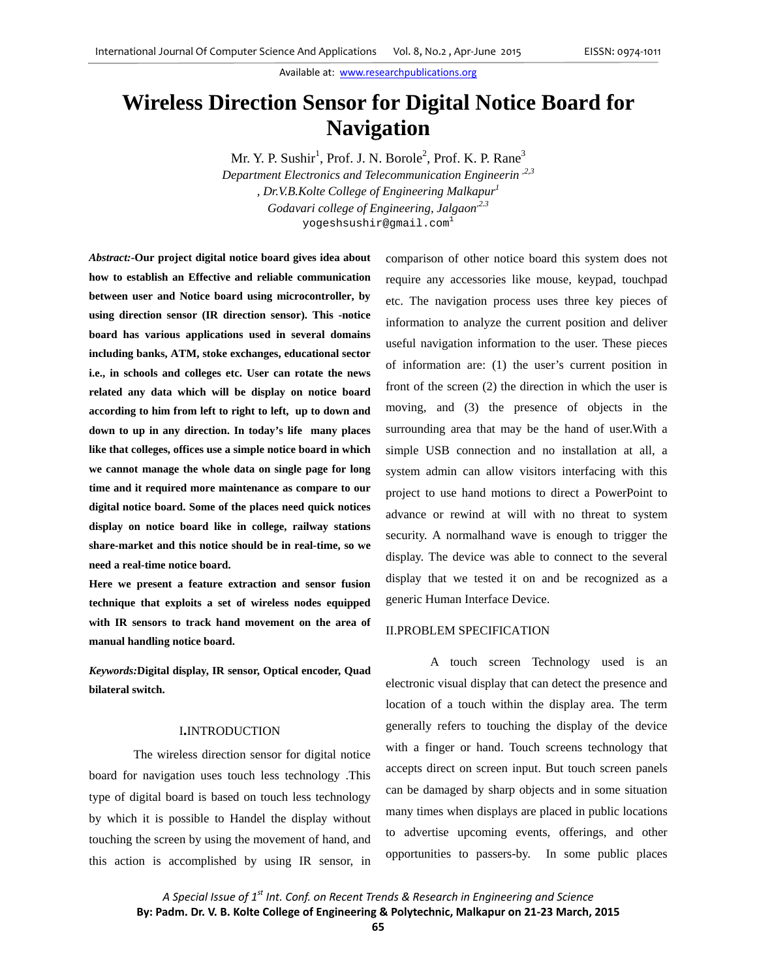# **Wireless Direction Sensor for Digital Notice Board for Navigation**

Mr. Y. P. Sushir<sup>1</sup>, Prof. J. N. Borole<sup>2</sup>, Prof. K. P. Rane<sup>3</sup> *Department Electronics and Telecommunication Engineerin ,2,3 , Dr.V.B.Kolte College of Engineering Malkapur1 Godavari college of Engineering, Jalgaon*<sup>2.3</sup> yogeshsushir@gmail.com<sup>1</sup>

*Abstract:-***Our project digital notice board gives idea about how to establish an Effective and reliable communication between user and Notice board using microcontroller, by using direction sensor (IR direction sensor). This -notice board has various applications used in several domains including banks, ATM, stoke exchanges, educational sector i.e., in schools and colleges etc. User can rotate the news related any data which will be display on notice board according to him from left to right to left, up to down and down to up in any direction. In today's life many places like that colleges, offices use a simple notice board in which we cannot manage the whole data on single page for long time and it required more maintenance as compare to our digital notice board. Some of the places need quick notices display on notice board like in college, railway stations share-market and this notice should be in real-time, so we need a real-time notice board.** 

**Here we present a feature extraction and sensor fusion technique that exploits a set of wireless nodes equipped with IR sensors to track hand movement on the area of manual handling notice board.**

*Keywords:***Digital display, IR sensor, Optical encoder, Quad bilateral switch.** 

#### I**.**INTRODUCTION

The wireless direction sensor for digital notice board for navigation uses touch less technology .This type of digital board is based on touch less technology by which it is possible to Handel the display without touching the screen by using the movement of hand, and this action is accomplished by using IR sensor, in

comparison of other notice board this system does not require any accessories like mouse, keypad, touchpad etc. The navigation process uses three key pieces of information to analyze the current position and deliver useful navigation information to the user. These pieces of information are: (1) the user's current position in front of the screen (2) the direction in which the user is moving, and (3) the presence of objects in the surrounding area that may be the hand of user.With a simple USB connection and no installation at all, a system admin can allow visitors interfacing with this project to use hand motions to direct a PowerPoint to advance or rewind at will with no threat to system security. A normalhand wave is enough to trigger the display. The device was able to connect to the several display that we tested it on and be recognized as a generic Human Interface Device.

# II.PROBLEM SPECIFICATION

A touch screen Technology used is an electronic visual display that can detect the presence and location of a touch within the display area. The term generally refers to touching the display of the device with a finger or hand. Touch screens technology that accepts direct on screen input. But touch screen panels can be damaged by sharp objects and in some situation many times when displays are placed in public locations to advertise upcoming events, offerings, and other opportunities to passers-by. In some public places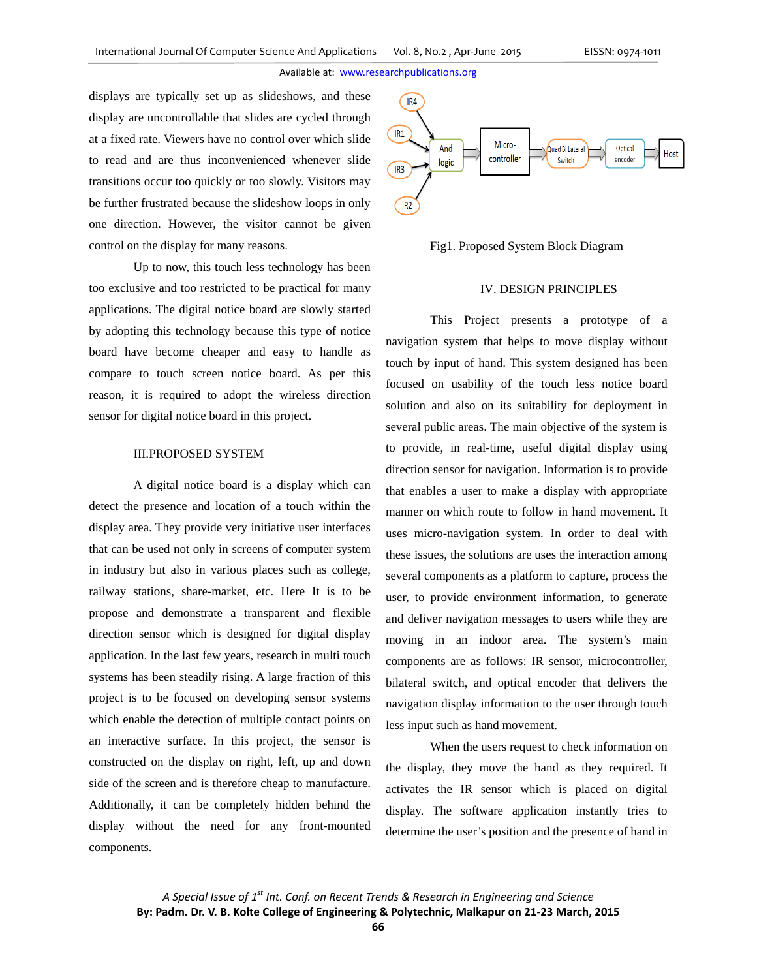displays are typically set up as slideshows, and these display are uncontrollable that slides are cycled through at a fixed rate. Viewers have no control over which slide to read and are thus inconvenienced whenever slide transitions occur too quickly or too slowly. Visitors may be further frustrated because the slideshow loops in only one direction. However, the visitor cannot be given control on the display for many reasons.

Up to now, this touch less technology has been too exclusive and too restricted to be practical for many applications. The digital notice board are slowly started by adopting this technology because this type of notice board have become cheaper and easy to handle as compare to touch screen notice board. As per this reason, it is required to adopt the wireless direction sensor for digital notice board in this project.

# III.PROPOSED SYSTEM

A digital notice board is a display which can detect the presence and location of a touch within the display area. They provide very initiative user interfaces that can be used not only in screens of computer system in industry but also in various places such as college, railway stations, share-market, etc. Here It is to be propose and demonstrate a transparent and flexible direction sensor which is designed for digital display application. In the last few years, research in multi touch systems has been steadily rising. A large fraction of this project is to be focused on developing sensor systems which enable the detection of multiple contact points on an interactive surface. In this project, the sensor is constructed on the display on right, left, up and down side of the screen and is therefore cheap to manufacture. Additionally, it can be completely hidden behind the display without the need for any front-mounted components.



Fig1. Proposed System Block Diagram

# IV. DESIGN PRINCIPLES

This Project presents a prototype of a navigation system that helps to move display without touch by input of hand. This system designed has been focused on usability of the touch less notice board solution and also on its suitability for deployment in several public areas. The main objective of the system is to provide, in real-time, useful digital display using direction sensor for navigation. Information is to provide that enables a user to make a display with appropriate manner on which route to follow in hand movement. It uses micro-navigation system. In order to deal with these issues, the solutions are uses the interaction among several components as a platform to capture, process the user, to provide environment information, to generate and deliver navigation messages to users while they are moving in an indoor area. The system's main components are as follows: IR sensor, microcontroller, bilateral switch, and optical encoder that delivers the navigation display information to the user through touch less input such as hand movement.

When the users request to check information on the display, they move the hand as they required. It activates the IR sensor which is placed on digital display. The software application instantly tries to determine the user's position and the presence of hand in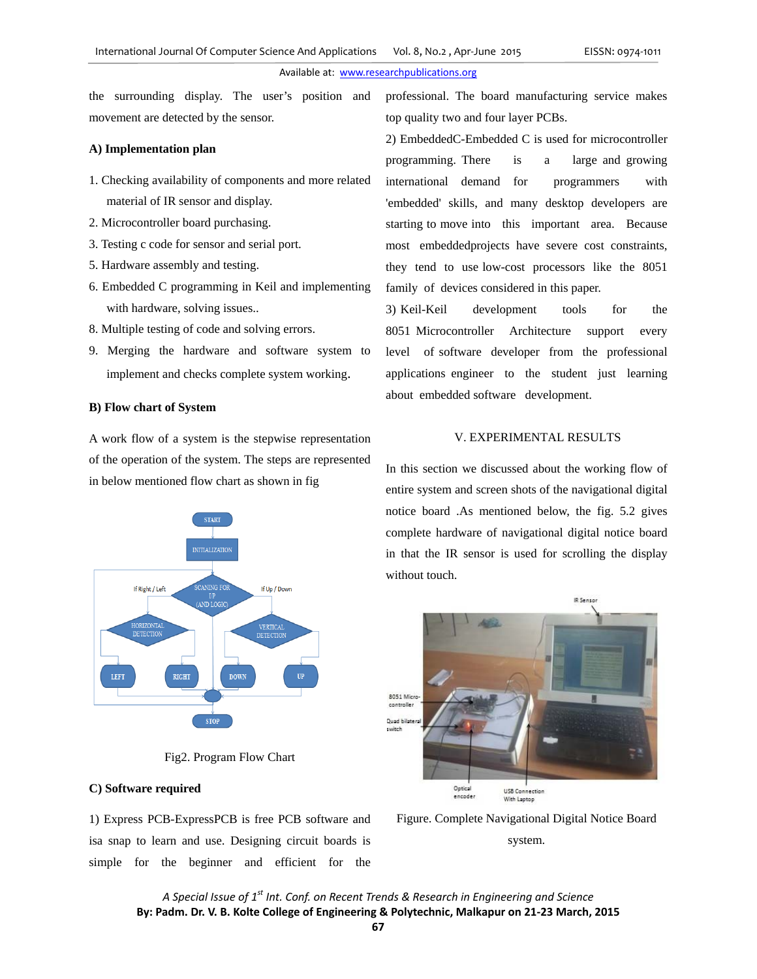the surrounding display. The user's position and movement are detected by the sensor.

### **A) Implementation plan**

- 1. Checking availability of components and more related material of IR sensor and display.
- 2. Microcontroller board purchasing.
- 3. Testing c code for sensor and serial port.
- 5. Hardware assembly and testing.
- 6. Embedded C programming in Keil and implementing with hardware, solving issues..
- 8. Multiple testing of code and solving errors.
- 9. Merging the hardware and software system to implement and checks complete system working.

#### **B) Flow chart of System**

A work flow of a system is the stepwise representation of the operation of the system. The steps are represented in below mentioned flow chart as shown in fig



Fig2. Program Flow Chart

## **C) Software required**

1) Express PCB-ExpressPCB is free PCB software and isa snap to learn and use. Designing circuit boards is simple for the beginner and efficient for the

professional. The board manufacturing service makes top quality two and four layer PCBs.

2) EmbeddedC-Embedded C is used for microcontroller programming. There is a large and growing international demand for programmers with 'embedded' skills, and many desktop developers are starting to move into this important area. Because most embeddedprojects have severe cost constraints, they tend to use low-cost processors like the 8051 family of devices considered in this paper.

3) Keil-Keil development tools for the 8051 Microcontroller Architecture support every level of software developer from the professional applications engineer to the student just learning about embedded software development.

## V. EXPERIMENTAL RESULTS

In this section we discussed about the working flow of entire system and screen shots of the navigational digital notice board .As mentioned below, the fig. 5.2 gives complete hardware of navigational digital notice board in that the IR sensor is used for scrolling the display without touch.



Figure. Complete Navigational Digital Notice Board system.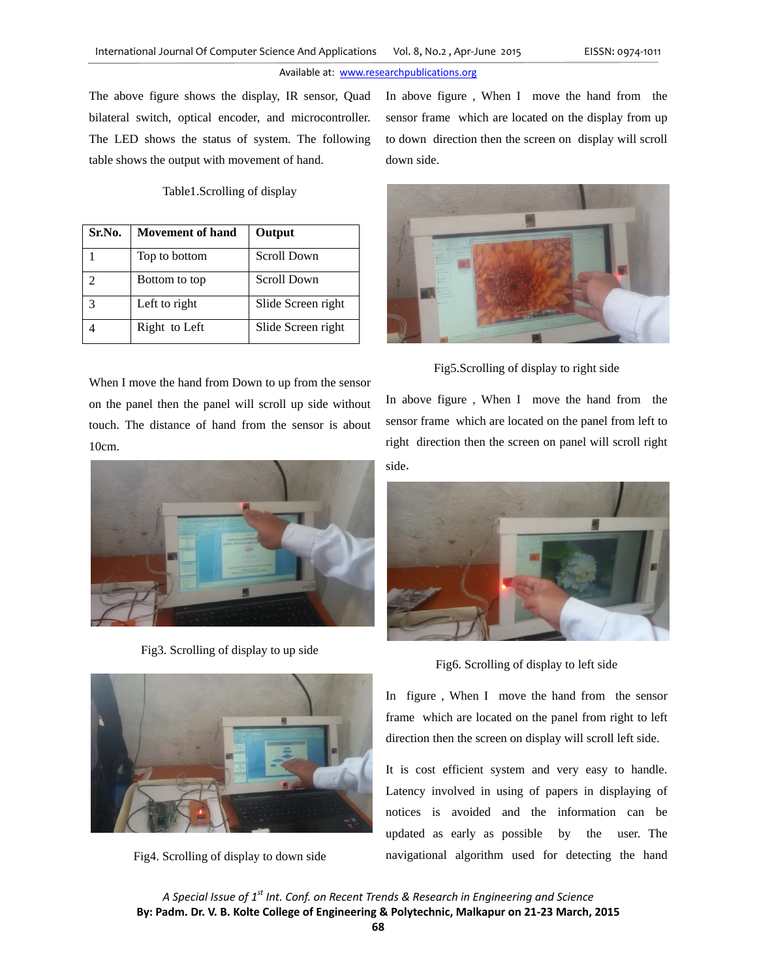The above figure shows the display, IR sensor, Quad bilateral switch, optical encoder, and microcontroller. The LED shows the status of system. The following table shows the output with movement of hand.

Table1.Scrolling of display

| Sr.No.        | <b>Movement of hand</b> | Output             |
|---------------|-------------------------|--------------------|
|               | Top to bottom           | Scroll Down        |
| $\mathcal{D}$ | Bottom to top           | Scroll Down        |
| $\mathcal{R}$ | Left to right           | Slide Screen right |
|               | Right to Left           | Slide Screen right |

When I move the hand from Down to up from the sensor on the panel then the panel will scroll up side without touch. The distance of hand from the sensor is about 10cm.



Fig3. Scrolling of display to up side



Fig4. Scrolling of display to down side

In above figure , When I move the hand from the sensor frame which are located on the display from up to down direction then the screen on display will scroll down side.



Fig5.Scrolling of display to right side

In above figure , When I move the hand from the sensor frame which are located on the panel from left to right direction then the screen on panel will scroll right side.



Fig6. Scrolling of display to left side

In figure , When I move the hand from the sensor frame which are located on the panel from right to left direction then the screen on display will scroll left side.

It is cost efficient system and very easy to handle. Latency involved in using of papers in displaying of notices is avoided and the information can be updated as early as possible by the user. The navigational algorithm used for detecting the hand